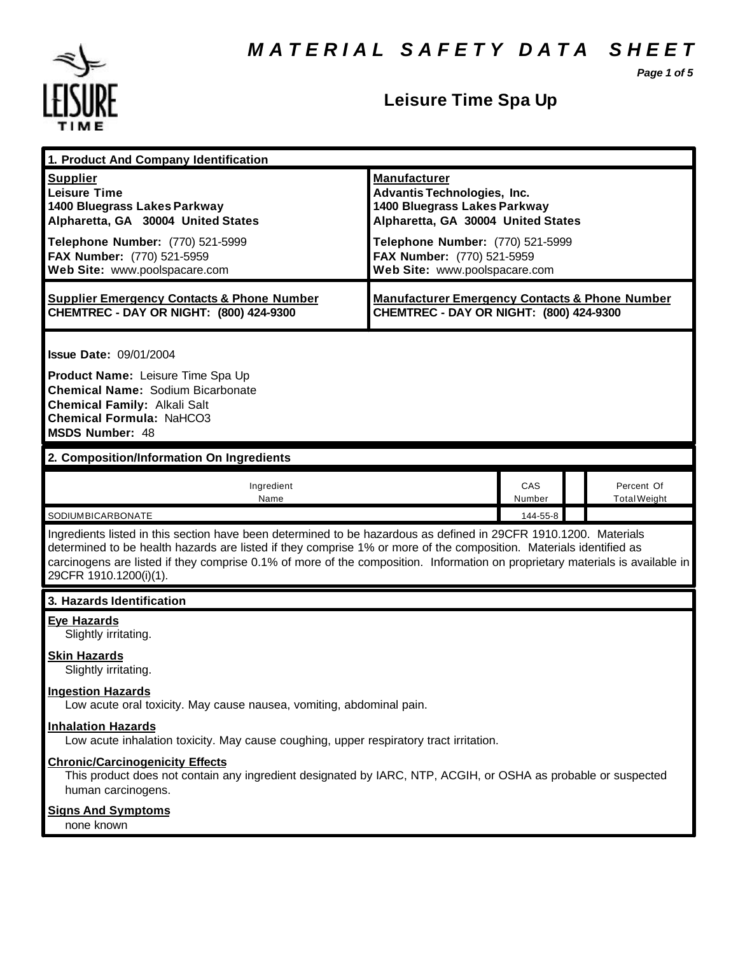*Page 1 of 5*



# **Leisure Time Spa Up**

| 1. Product And Company Identification                                                                                                                                                                                                                                                                                                                                                             |                                                                                                                                                                                                                                    |               |  |                                   |  |  |
|---------------------------------------------------------------------------------------------------------------------------------------------------------------------------------------------------------------------------------------------------------------------------------------------------------------------------------------------------------------------------------------------------|------------------------------------------------------------------------------------------------------------------------------------------------------------------------------------------------------------------------------------|---------------|--|-----------------------------------|--|--|
| <b>Supplier</b><br><b>Leisure Time</b><br>1400 Bluegrass Lakes Parkway<br>Alpharetta, GA 30004 United States<br>Telephone Number: (770) 521-5999<br>FAX Number: (770) 521-5959<br>Web Site: www.poolspacare.com                                                                                                                                                                                   | <b>Manufacturer</b><br><b>Advantis Technologies, Inc.</b><br>1400 Bluegrass Lakes Parkway<br>Alpharetta, GA 30004 United States<br>Telephone Number: (770) 521-5999<br>FAX Number: (770) 521-5959<br>Web Site: www.poolspacare.com |               |  |                                   |  |  |
| <b>Supplier Emergency Contacts &amp; Phone Number</b><br>CHEMTREC - DAY OR NIGHT: (800) 424-9300                                                                                                                                                                                                                                                                                                  | <b>Manufacturer Emergency Contacts &amp; Phone Number</b><br>CHEMTREC - DAY OR NIGHT: (800) 424-9300                                                                                                                               |               |  |                                   |  |  |
| <b>Issue Date: 09/01/2004</b><br>Product Name: Leisure Time Spa Up<br><b>Chemical Name: Sodium Bicarbonate</b><br><b>Chemical Family: Alkali Salt</b><br><b>Chemical Formula: NaHCO3</b><br><b>MSDS Number: 48</b>                                                                                                                                                                                |                                                                                                                                                                                                                                    |               |  |                                   |  |  |
| 2. Composition/Information On Ingredients                                                                                                                                                                                                                                                                                                                                                         |                                                                                                                                                                                                                                    |               |  |                                   |  |  |
| Ingredient<br>Name                                                                                                                                                                                                                                                                                                                                                                                |                                                                                                                                                                                                                                    | CAS<br>Number |  | Percent Of<br><b>Total Weight</b> |  |  |
| SODIUMBICARBONATE                                                                                                                                                                                                                                                                                                                                                                                 |                                                                                                                                                                                                                                    | 144-55-8      |  |                                   |  |  |
| Ingredients listed in this section have been determined to be hazardous as defined in 29CFR 1910.1200. Materials<br>determined to be health hazards are listed if they comprise 1% or more of the composition. Materials identified as<br>carcinogens are listed if they comprise 0.1% of more of the composition. Information on proprietary materials is available in<br>29CFR 1910.1200(i)(1). |                                                                                                                                                                                                                                    |               |  |                                   |  |  |
| 3. Hazards Identification                                                                                                                                                                                                                                                                                                                                                                         |                                                                                                                                                                                                                                    |               |  |                                   |  |  |
| <b>Eye Hazards</b><br>Slightly irritating.<br><b>Skin Hazards</b><br>Slightly irritating.<br><b>Ingestion Hazards</b><br>Low acute oral toxicity. May cause nausea, vomiting, abdominal pain.<br><b>Inhalation Hazards</b>                                                                                                                                                                        |                                                                                                                                                                                                                                    |               |  |                                   |  |  |
| Low acute inhalation toxicity. May cause coughing, upper respiratory tract irritation.                                                                                                                                                                                                                                                                                                            |                                                                                                                                                                                                                                    |               |  |                                   |  |  |
| <b>Chronic/Carcinogenicity Effects</b><br>This product does not contain any ingredient designated by IARC, NTP, ACGIH, or OSHA as probable or suspected<br>human carcinogens.                                                                                                                                                                                                                     |                                                                                                                                                                                                                                    |               |  |                                   |  |  |
| <b>Signs And Symptoms</b><br>none known                                                                                                                                                                                                                                                                                                                                                           |                                                                                                                                                                                                                                    |               |  |                                   |  |  |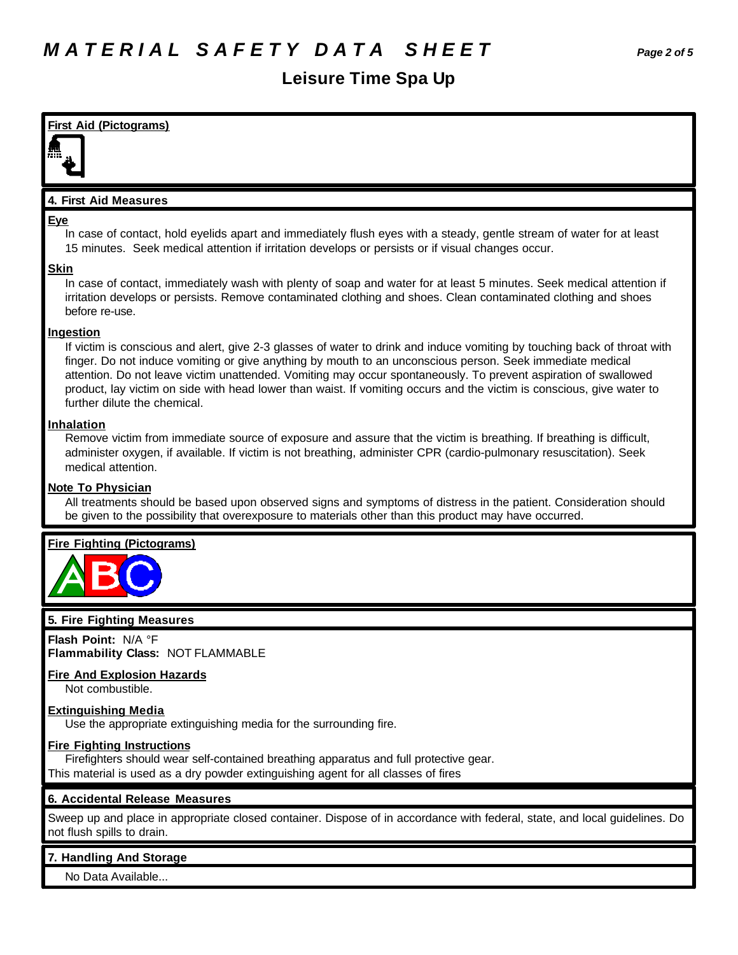# **Leisure Time Spa Up**

# **First Aid (Pictograms) 4. First Aid Measures Eye** In case of contact, hold eyelids apart and immediately flush eyes with a steady, gentle stream of water for at least 15 minutes. Seek medical attention if irritation develops or persists or if visual changes occur. **Skin** In case of contact, immediately wash with plenty of soap and water for at least 5 minutes. Seek medical attention if irritation develops or persists. Remove contaminated clothing and shoes. Clean contaminated clothing and shoes before re-use. **Ingestion** If victim is conscious and alert, give 2-3 glasses of water to drink and induce vomiting by touching back of throat with finger. Do not induce vomiting or give anything by mouth to an unconscious person. Seek immediate medical attention. Do not leave victim unattended. Vomiting may occur spontaneously. To prevent aspiration of swallowed product, lay victim on side with head lower than waist. If vomiting occurs and the victim is conscious, give water to further dilute the chemical. **Inhalation** Remove victim from immediate source of exposure and assure that the victim is breathing. If breathing is difficult, administer oxygen, if available. If victim is not breathing, administer CPR (cardio-pulmonary resuscitation). Seek medical attention. **Note To Physician** All treatments should be based upon observed signs and symptoms of distress in the patient. Consideration should be given to the possibility that overexposure to materials other than this product may have occurred. **Fire Fighting (Pictograms) 5. Fire Fighting Measures Flash Point:** N/A °F **Flammability Class:** NOT FLAMMABLE **Fire And Explosion Hazards** Not combustible. **Extinguishing Media** Use the appropriate extinguishing media for the surrounding fire. **Fire Fighting Instructions** Firefighters should wear self-contained breathing apparatus and full protective gear. This material is used as a dry powder extinguishing agent for all classes of fires

# **6. Accidental Release Measures**

Sweep up and place in appropriate closed container. Dispose of in accordance with federal, state, and local guidelines. Do not flush spills to drain.

## **7. Handling And Storage**

No Data Available...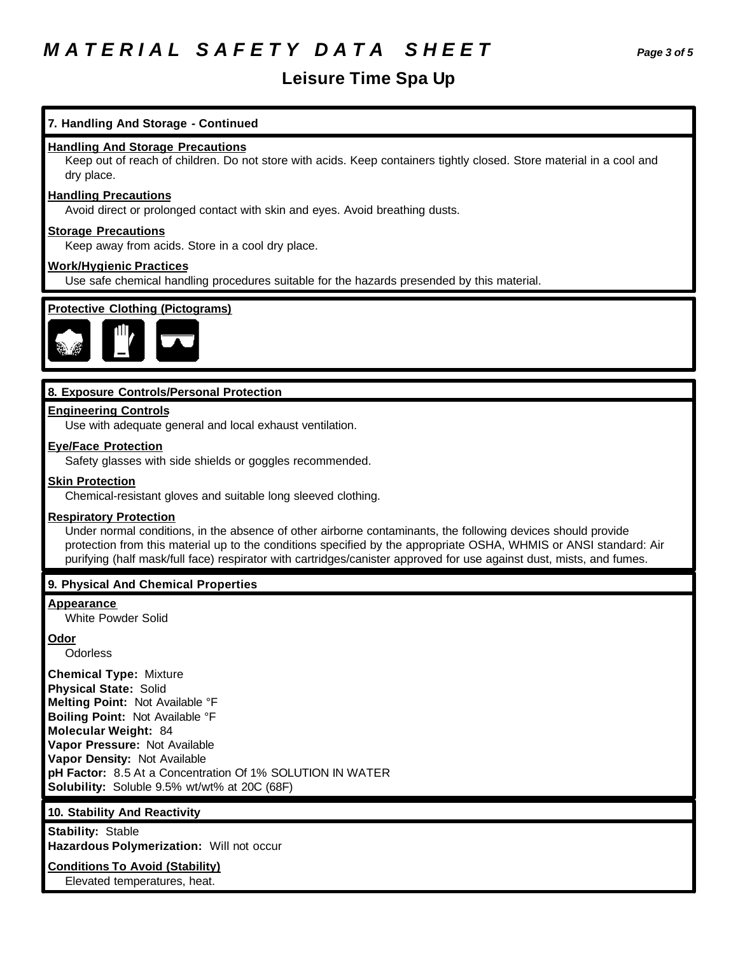# *M A T E R I A L S A F E T Y D A T A S H E E T Page 3 of 5*

# **Leisure Time Spa Up**

# **7. Handling And Storage - Continued**

## **Handling And Storage Precautions**

Keep out of reach of children. Do not store with acids. Keep containers tightly closed. Store material in a cool and dry place.

#### **Handling Precautions**

Avoid direct or prolonged contact with skin and eyes. Avoid breathing dusts.

### **Storage Precautions**

Keep away from acids. Store in a cool dry place.

## **Work/Hygienic Practices**

Use safe chemical handling procedures suitable for the hazards presended by this material.



# **8. Exposure Controls/Personal Protection**

#### **Engineering Controls**

Use with adequate general and local exhaust ventilation.

## **Eye/Face Protection**

Safety glasses with side shields or goggles recommended.

#### **Skin Protection**

Chemical-resistant gloves and suitable long sleeved clothing.

#### **Respiratory Protection**

Under normal conditions, in the absence of other airborne contaminants, the following devices should provide protection from this material up to the conditions specified by the appropriate OSHA, WHMIS or ANSI standard: Air purifying (half mask/full face) respirator with cartridges/canister approved for use against dust, mists, and fumes.

#### **9. Physical And Chemical Properties**

# **Appearance**

White Powder Solid

#### **Odor**

**Odorless** 

**Chemical Type:** Mixture **Physical State:** Solid **Melting Point:** Not Available °F **Boiling Point:** Not Available °F **Molecular Weight:** 84 **Vapor Pressure:** Not Available **Vapor Density:** Not Available **pH Factor:** 8.5 At a Concentration Of 1% SOLUTION IN WATER **Solubility:** Soluble 9.5% wt/wt% at 20C (68F)

### **10. Stability And Reactivity**

**Stability:** Stable **Hazardous Polymerization:** Will not occur

## **Conditions To Avoid (Stability)**

Elevated temperatures, heat.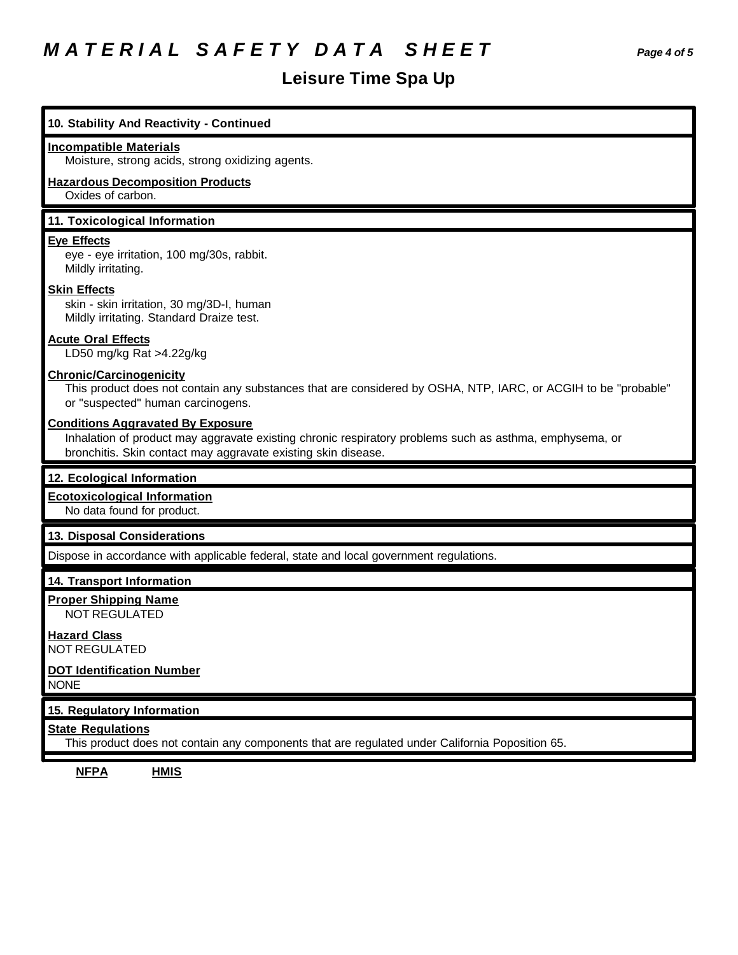# *M A T E R I A L S A F E T Y D A T A S H E E T Page 4 of 5*

# **Leisure Time Spa Up**

| 10. Stability And Reactivity - Continued                                                                                                                                                                             |
|----------------------------------------------------------------------------------------------------------------------------------------------------------------------------------------------------------------------|
| <b>Incompatible Materials</b><br>Moisture, strong acids, strong oxidizing agents.                                                                                                                                    |
| <b>Hazardous Decomposition Products</b><br>Oxides of carbon.                                                                                                                                                         |
| 11. Toxicological Information                                                                                                                                                                                        |
| <b>Eye Effects</b><br>eye - eye irritation, 100 mg/30s, rabbit.<br>Mildly irritating.                                                                                                                                |
| <b>Skin Effects</b><br>skin - skin irritation, 30 mg/3D-I, human<br>Mildly irritating. Standard Draize test.                                                                                                         |
| <b>Acute Oral Effects</b><br>LD50 mg/kg Rat >4.22g/kg                                                                                                                                                                |
| <b>Chronic/Carcinogenicity</b><br>This product does not contain any substances that are considered by OSHA, NTP, IARC, or ACGIH to be "probable"<br>or "suspected" human carcinogens.                                |
| <b>Conditions Aggravated By Exposure</b><br>Inhalation of product may aggravate existing chronic respiratory problems such as asthma, emphysema, or<br>bronchitis. Skin contact may aggravate existing skin disease. |
| 12. Ecological Information                                                                                                                                                                                           |
| <b>Ecotoxicological Information</b><br>No data found for product.                                                                                                                                                    |
| 13. Disposal Considerations                                                                                                                                                                                          |
| Dispose in accordance with applicable federal, state and local government regulations.                                                                                                                               |
| 14. Transport Information                                                                                                                                                                                            |
| <b>Proper Shipping Name</b><br><b>NOT REGULATED</b>                                                                                                                                                                  |
| <b>Hazard Class</b><br>NOT REGULATED                                                                                                                                                                                 |
| <b>DOT Identification Number</b><br><b>NONE</b>                                                                                                                                                                      |
| 15. Regulatory Information                                                                                                                                                                                           |
| <b>State Regulations</b><br>This product does not contain any components that are regulated under California Poposition 65.                                                                                          |

**NFPA HMIS**